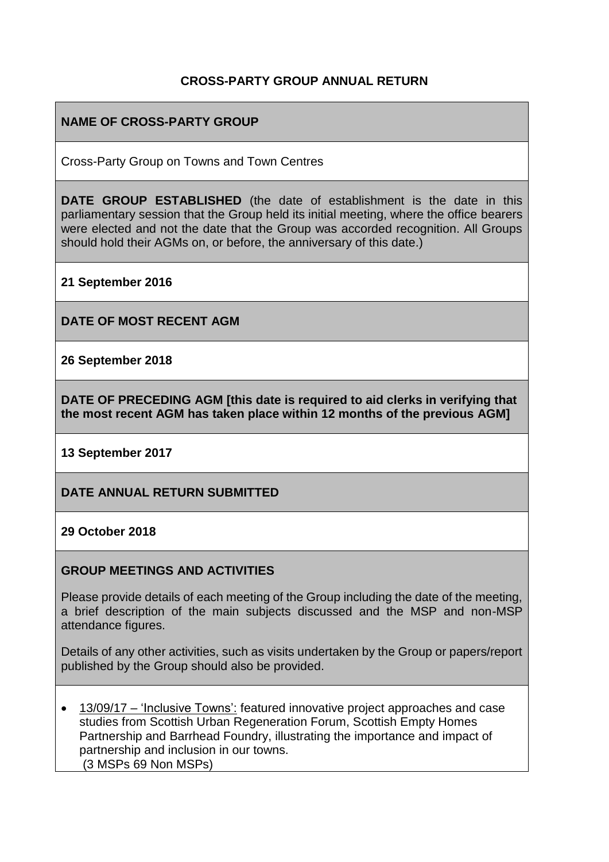#### **CROSS-PARTY GROUP ANNUAL RETURN**

### **NAME OF CROSS-PARTY GROUP**

Cross-Party Group on Towns and Town Centres

**DATE GROUP ESTABLISHED** (the date of establishment is the date in this parliamentary session that the Group held its initial meeting, where the office bearers were elected and not the date that the Group was accorded recognition. All Groups should hold their AGMs on, or before, the anniversary of this date.)

**21 September 2016**

**DATE OF MOST RECENT AGM**

**26 September 2018**

**DATE OF PRECEDING AGM [this date is required to aid clerks in verifying that the most recent AGM has taken place within 12 months of the previous AGM]**

**13 September 2017**

**DATE ANNUAL RETURN SUBMITTED**

**29 October 2018**

#### **GROUP MEETINGS AND ACTIVITIES**

Please provide details of each meeting of the Group including the date of the meeting, a brief description of the main subjects discussed and the MSP and non-MSP attendance figures.

Details of any other activities, such as visits undertaken by the Group or papers/report published by the Group should also be provided.

• 13/09/17 – 'Inclusive Towns': featured innovative project approaches and case studies from Scottish Urban Regeneration Forum, Scottish Empty Homes Partnership and Barrhead Foundry, illustrating the importance and impact of partnership and inclusion in our towns. (3 MSPs 69 Non MSPs)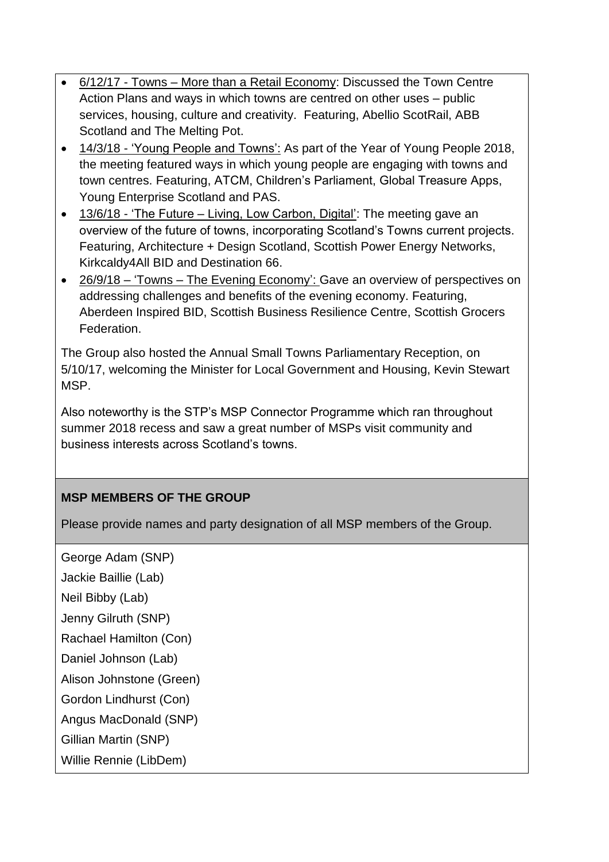- 6/12/17 Towns More than a Retail Economy: Discussed the Town Centre Action Plans and ways in which towns are centred on other uses – public services, housing, culture and creativity. Featuring, Abellio ScotRail, ABB Scotland and The Melting Pot.
- 14/3/18 'Young People and Towns': As part of the Year of Young People 2018, the meeting featured ways in which young people are engaging with towns and town centres. Featuring, ATCM, Children's Parliament, Global Treasure Apps, Young Enterprise Scotland and PAS.
- 13/6/18 'The Future Living, Low Carbon, Digital': The meeting gave an overview of the future of towns, incorporating Scotland's Towns current projects. Featuring, Architecture + Design Scotland, Scottish Power Energy Networks, Kirkcaldy4All BID and Destination 66.
- 26/9/18 'Towns The Evening Economy': Gave an overview of perspectives on addressing challenges and benefits of the evening economy. Featuring, Aberdeen Inspired BID, Scottish Business Resilience Centre, Scottish Grocers Federation.

The Group also hosted the Annual Small Towns Parliamentary Reception, on 5/10/17, welcoming the Minister for Local Government and Housing, Kevin Stewart MSP.

Also noteworthy is the STP's MSP Connector Programme which ran throughout summer 2018 recess and saw a great number of MSPs visit community and business interests across Scotland's towns.

## **MSP MEMBERS OF THE GROUP**

Please provide names and party designation of all MSP members of the Group.

George Adam (SNP)

Jackie Baillie (Lab)

Neil Bibby (Lab)

Jenny Gilruth (SNP)

Rachael Hamilton (Con)

Daniel Johnson (Lab)

Alison Johnstone (Green)

Gordon Lindhurst (Con)

Angus MacDonald (SNP)

Gillian Martin (SNP)

Willie Rennie (LibDem)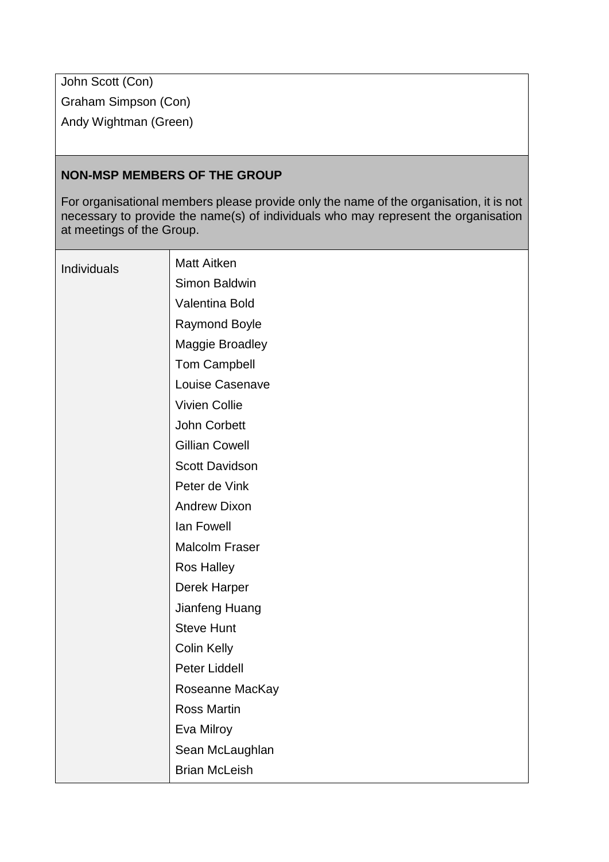John Scott (Con) Graham Simpson (Con) Andy Wightman (Green)

#### **NON-MSP MEMBERS OF THE GROUP**

For organisational members please provide only the name of the organisation, it is not necessary to provide the name(s) of individuals who may represent the organisation at meetings of the Group.

| Individuals | <b>Matt Aitken</b>    |
|-------------|-----------------------|
|             | Simon Baldwin         |
|             | Valentina Bold        |
|             | Raymond Boyle         |
|             | Maggie Broadley       |
|             | <b>Tom Campbell</b>   |
|             | Louise Casenave       |
|             | <b>Vivien Collie</b>  |
|             | John Corbett          |
|             | <b>Gillian Cowell</b> |
|             | <b>Scott Davidson</b> |
|             | Peter de Vink         |
|             | <b>Andrew Dixon</b>   |
|             | lan Fowell            |
|             | Malcolm Fraser        |
|             | <b>Ros Halley</b>     |
|             | Derek Harper          |
|             | Jianfeng Huang        |
|             | <b>Steve Hunt</b>     |
|             | <b>Colin Kelly</b>    |
|             | Peter Liddell         |
|             | Roseanne MacKay       |
|             | <b>Ross Martin</b>    |
|             | Eva Milroy            |
|             | Sean McLaughlan       |
|             | <b>Brian McLeish</b>  |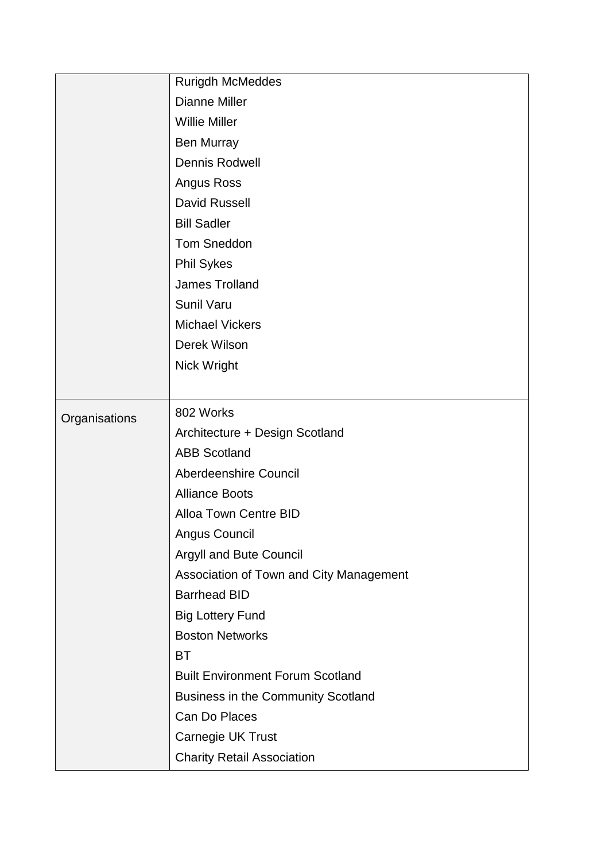|               | <b>Rurigdh McMeddes</b>                 |
|---------------|-----------------------------------------|
|               | <b>Dianne Miller</b>                    |
|               | <b>Willie Miller</b>                    |
|               | Ben Murray                              |
|               | <b>Dennis Rodwell</b>                   |
|               | Angus Ross                              |
|               | <b>David Russell</b>                    |
|               | <b>Bill Sadler</b>                      |
|               | <b>Tom Sneddon</b>                      |
|               | <b>Phil Sykes</b>                       |
|               | <b>James Trolland</b>                   |
|               | <b>Sunil Varu</b>                       |
|               | <b>Michael Vickers</b>                  |
|               | Derek Wilson                            |
|               | Nick Wright                             |
|               |                                         |
| Organisations | 802 Works                               |
|               | Architecture + Design Scotland          |
|               | <b>ABB Scotland</b>                     |
|               | Aberdeenshire Council                   |
|               | <b>Alliance Boots</b>                   |
|               | <b>Alloa Town Centre BID</b>            |
|               | Angus Council                           |
|               | Argyll and Bute Council                 |
|               | Association of Town and City Management |
|               | <b>Barrhead BID</b>                     |
|               | <b>Big Lottery Fund</b>                 |
|               | <b>Boston Networks</b>                  |
|               | ВT                                      |
|               | <b>Built Environment Forum Scotland</b> |
|               | Business in the Community Scotland      |
|               | Can Do Places                           |
|               | Carnegie UK Trust                       |
|               | <b>Charity Retail Association</b>       |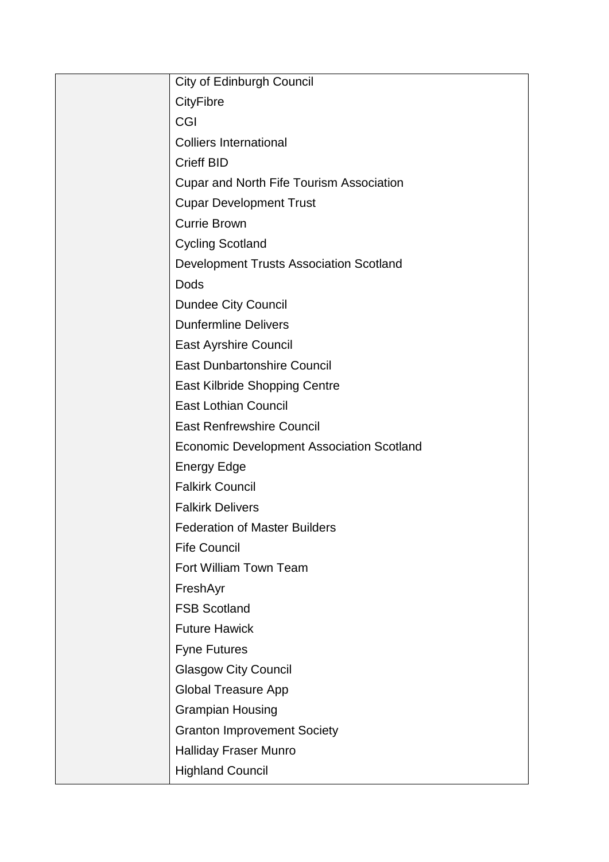| City of Edinburgh Council                        |
|--------------------------------------------------|
| <b>CityFibre</b>                                 |
| <b>CGI</b>                                       |
| <b>Colliers International</b>                    |
| <b>Crieff BID</b>                                |
| <b>Cupar and North Fife Tourism Association</b>  |
| <b>Cupar Development Trust</b>                   |
| <b>Currie Brown</b>                              |
| <b>Cycling Scotland</b>                          |
| <b>Development Trusts Association Scotland</b>   |
| Dods                                             |
| <b>Dundee City Council</b>                       |
| <b>Dunfermline Delivers</b>                      |
| <b>East Ayrshire Council</b>                     |
| <b>East Dunbartonshire Council</b>               |
| <b>East Kilbride Shopping Centre</b>             |
| <b>East Lothian Council</b>                      |
| <b>East Renfrewshire Council</b>                 |
| <b>Economic Development Association Scotland</b> |
| <b>Energy Edge</b>                               |
| <b>Falkirk Council</b>                           |
| <b>Falkirk Delivers</b>                          |
| <b>Federation of Master Builders</b>             |
| <b>Fife Council</b>                              |
| Fort William Town Team                           |
| FreshAyr                                         |
| <b>FSB Scotland</b>                              |
| <b>Future Hawick</b>                             |
| <b>Fyne Futures</b>                              |
| <b>Glasgow City Council</b>                      |
| <b>Global Treasure App</b>                       |
| <b>Grampian Housing</b>                          |
| <b>Granton Improvement Society</b>               |
| <b>Halliday Fraser Munro</b>                     |
| <b>Highland Council</b>                          |
|                                                  |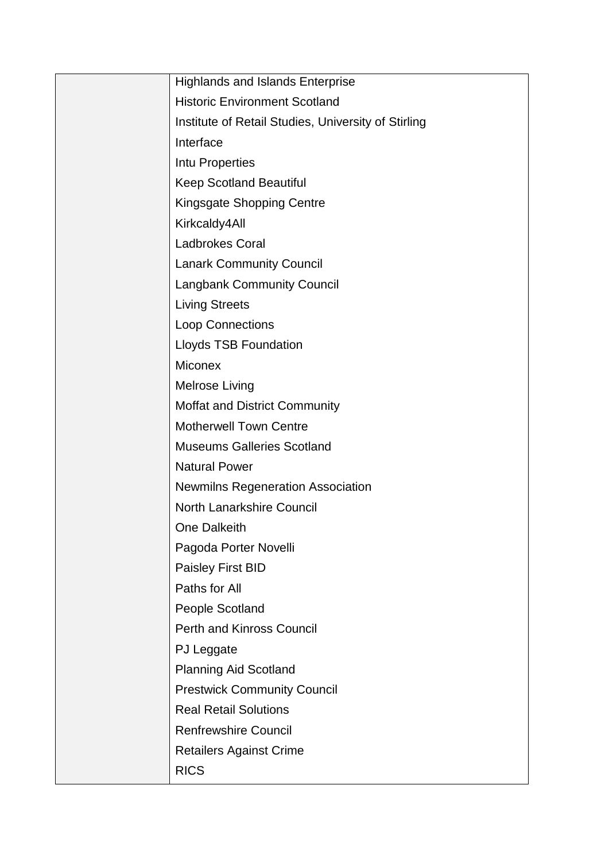| <b>Highlands and Islands Enterprise</b>             |
|-----------------------------------------------------|
| <b>Historic Environment Scotland</b>                |
| Institute of Retail Studies, University of Stirling |
| Interface                                           |
| Intu Properties                                     |
| <b>Keep Scotland Beautiful</b>                      |
| <b>Kingsgate Shopping Centre</b>                    |
| Kirkcaldy4All                                       |
| <b>Ladbrokes Coral</b>                              |
| <b>Lanark Community Council</b>                     |
| <b>Langbank Community Council</b>                   |
| <b>Living Streets</b>                               |
| Loop Connections                                    |
| <b>Lloyds TSB Foundation</b>                        |
| <b>Miconex</b>                                      |
| Melrose Living                                      |
| <b>Moffat and District Community</b>                |
| <b>Motherwell Town Centre</b>                       |
| <b>Museums Galleries Scotland</b>                   |
| <b>Natural Power</b>                                |
| <b>Newmilns Regeneration Association</b>            |
| <b>North Lanarkshire Council</b>                    |
| One Dalkeith                                        |
| Pagoda Porter Novelli                               |
| <b>Paisley First BID</b>                            |
| Paths for All                                       |
| People Scotland                                     |
| <b>Perth and Kinross Council</b>                    |
| PJ Leggate                                          |
| <b>Planning Aid Scotland</b>                        |
| <b>Prestwick Community Council</b>                  |
| <b>Real Retail Solutions</b>                        |
| <b>Renfrewshire Council</b>                         |
| <b>Retailers Against Crime</b>                      |
| <b>RICS</b>                                         |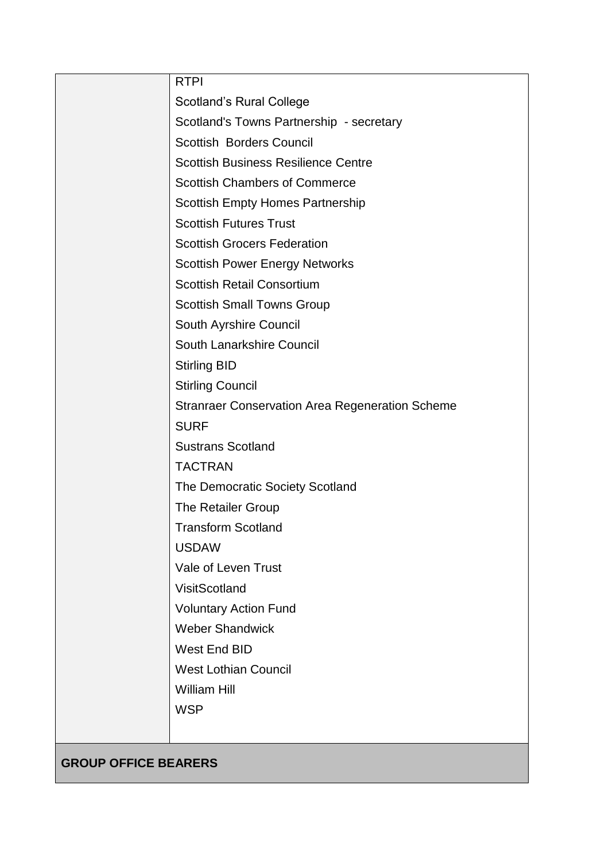| <b>RTPI</b>                                            |
|--------------------------------------------------------|
| <b>Scotland's Rural College</b>                        |
| Scotland's Towns Partnership - secretary               |
| <b>Scottish Borders Council</b>                        |
| <b>Scottish Business Resilience Centre</b>             |
| <b>Scottish Chambers of Commerce</b>                   |
| <b>Scottish Empty Homes Partnership</b>                |
| <b>Scottish Futures Trust</b>                          |
| <b>Scottish Grocers Federation</b>                     |
| <b>Scottish Power Energy Networks</b>                  |
| <b>Scottish Retail Consortium</b>                      |
| <b>Scottish Small Towns Group</b>                      |
| South Ayrshire Council                                 |
| South Lanarkshire Council                              |
| <b>Stirling BID</b>                                    |
| <b>Stirling Council</b>                                |
| <b>Stranraer Conservation Area Regeneration Scheme</b> |
| <b>SURF</b>                                            |
| <b>Sustrans Scotland</b>                               |
| <b>TACTRAN</b>                                         |
| The Democratic Society Scotland                        |
| The Retailer Group                                     |
| <b>Transform Scotland</b>                              |
| <b>USDAW</b>                                           |
| Vale of Leven Trust                                    |
| VisitScotland                                          |
| <b>Voluntary Action Fund</b>                           |
| <b>Weber Shandwick</b>                                 |
| West End BID                                           |
| <b>West Lothian Council</b>                            |
| <b>William Hill</b>                                    |
| <b>WSP</b>                                             |
|                                                        |

**GROUP OFFICE BEARERS**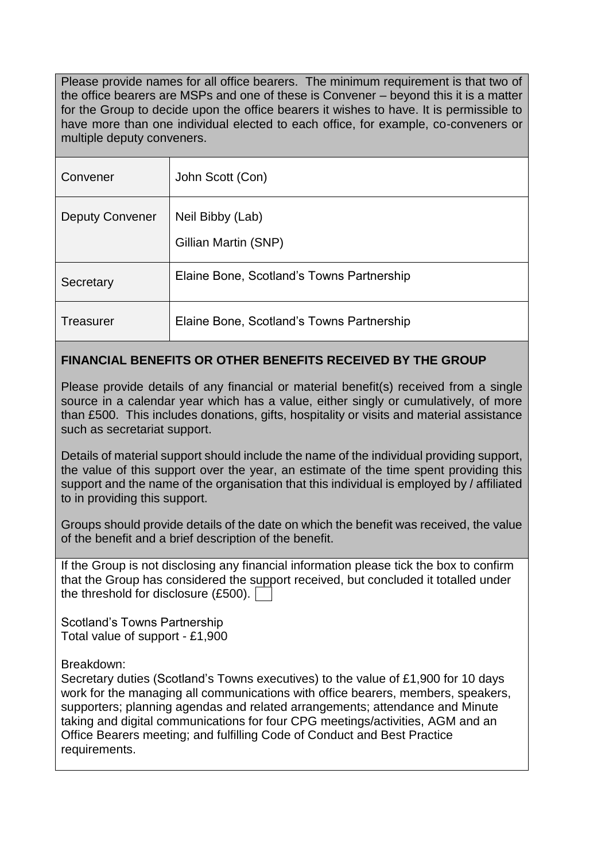Please provide names for all office bearers. The minimum requirement is that two of the office bearers are MSPs and one of these is Convener – beyond this it is a matter for the Group to decide upon the office bearers it wishes to have. It is permissible to have more than one individual elected to each office, for example, co-conveners or multiple deputy conveners.

| Convener               | John Scott (Con)                          |
|------------------------|-------------------------------------------|
| <b>Deputy Convener</b> | Neil Bibby (Lab)<br>Gillian Martin (SNP)  |
| Secretary              | Elaine Bone, Scotland's Towns Partnership |
| <b>Treasurer</b>       | Elaine Bone, Scotland's Towns Partnership |

## **FINANCIAL BENEFITS OR OTHER BENEFITS RECEIVED BY THE GROUP**

Please provide details of any financial or material benefit(s) received from a single source in a calendar year which has a value, either singly or cumulatively, of more than £500. This includes donations, gifts, hospitality or visits and material assistance such as secretariat support.

Details of material support should include the name of the individual providing support, the value of this support over the year, an estimate of the time spent providing this support and the name of the organisation that this individual is employed by / affiliated to in providing this support.

Groups should provide details of the date on which the benefit was received, the value of the benefit and a brief description of the benefit.

If the Group is not disclosing any financial information please tick the box to confirm that the Group has considered the support received, but concluded it totalled under the threshold for disclosure (£500).

Scotland's Towns Partnership Total value of support - £1,900

Breakdown:

Secretary duties (Scotland's Towns executives) to the value of £1,900 for 10 days work for the managing all communications with office bearers, members, speakers, supporters; planning agendas and related arrangements; attendance and Minute taking and digital communications for four CPG meetings/activities, AGM and an Office Bearers meeting; and fulfilling Code of Conduct and Best Practice requirements.